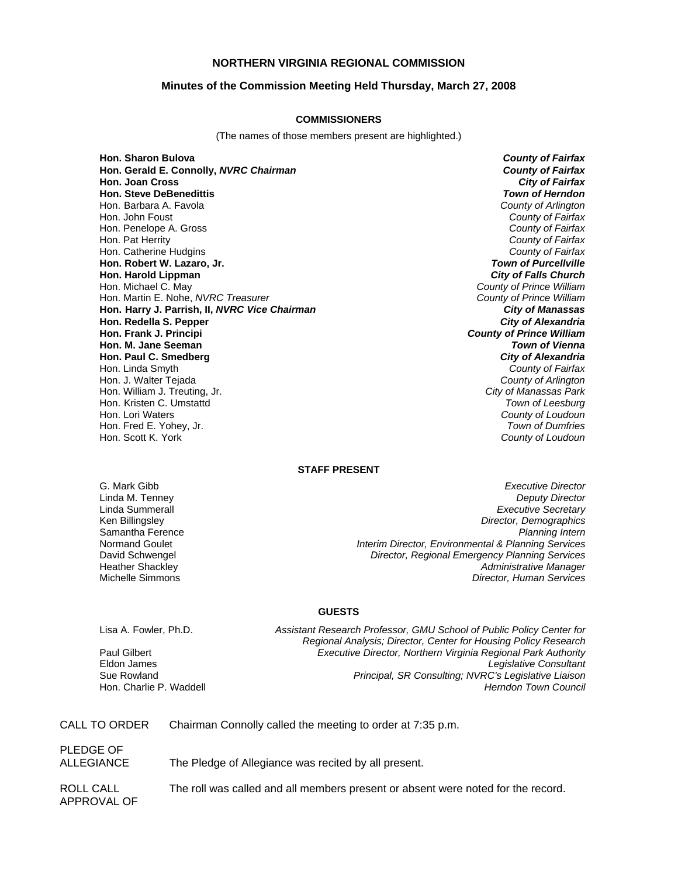### **NORTHERN VIRGINIA REGIONAL COMMISSION**

### **Minutes of the Commission Meeting Held Thursday, March 27, 2008**

#### **COMMISSIONERS**

(The names of those members present are highlighted.)

**Hon. Sharon Bulova** *County of Fairfax* **Hon. Gerald E. Connolly,** *NVRC Chairman County of Fairfax* **Hon. Joan Cross Hon. Steve DeBenedittis** *Town of Herndon* Hon. Barbara A. Favola *County of Arlington* Hon. John Foust *County of Fairfax* Hon. Penelope A. Gross *County of Fairfax* Hon. Pat Herrity *County of Fairfax* Hon. Catherine Hudgins *County of Fairfax* **Hon. Robert W. Lazaro, Jr. Hon. Harold Lippman** *City of Falls Church* Hon. Michael C. May *County of Prince William* Hon. Martin E. Nohe, *NVRC Treasurer County of Prince William* **Hon. Harry J. Parrish, II,** *NVRC Vice Chairman City of Manassas* **Hon. Redella S. Pepper** *City of Alexandria* **Hon. Frank J. Principi** *County of Prince William* **Hon. M. Jane Seeman** *Town of Vienna* **Hon. Paul C. Smedberg** *City of Alexandria* Hon. Linda Smyth *County of Fairfax* Hon. J. Walter Tejada *County of Arlington* Hon. William J. Treuting, Jr. *City of Manassas Park* Hon. Kristen C. Umstattd *Town of Leesburg* Hon. Lori Waters *County of Loudoun* Hon. Fred E. Yohey, Jr. *Town of Dumfries*

**County of Loudoun** 

# **STAFF PRESENT**

G. Mark Gibb *Executive Director* **Deputy Director** Linda Summerall *Executive Secretary* Ken Billingsley *Director, Demographics* Samantha Ference *Planning Intern* Normand Goulet *Interim Director, Environmental & Planning Services* David Schwengel *Director, Regional Emergency Planning Services* Heather Shackley *Administrative Manager* Michelle Simmons *Director, Human Services*

#### **GUESTS**

Hon. Charlie P. Waddell

Lisa A. Fowler, Ph.D. *Assistant Research Professor, GMU School of Public Policy Center for Regional Analysis; Director, Center for Housing Policy Research* Paul Gilbert *Executive Director, Northern Virginia Regional Park Authority* Eldon James *Legislative Consultant* Sue Rowland *Principal, SR Consulting; NVRC's Legislative Liaison*

| CALL TO ORDER | Chairman Connolly called the meeting to order at 7:35 p.m. |
|---------------|------------------------------------------------------------|
|---------------|------------------------------------------------------------|

PLEDGE OF ALLEGIANCE The Pledge of Allegiance was recited by all present.

ROLL CALL The roll was called and all members present or absent were noted for the record. APPROVAL OF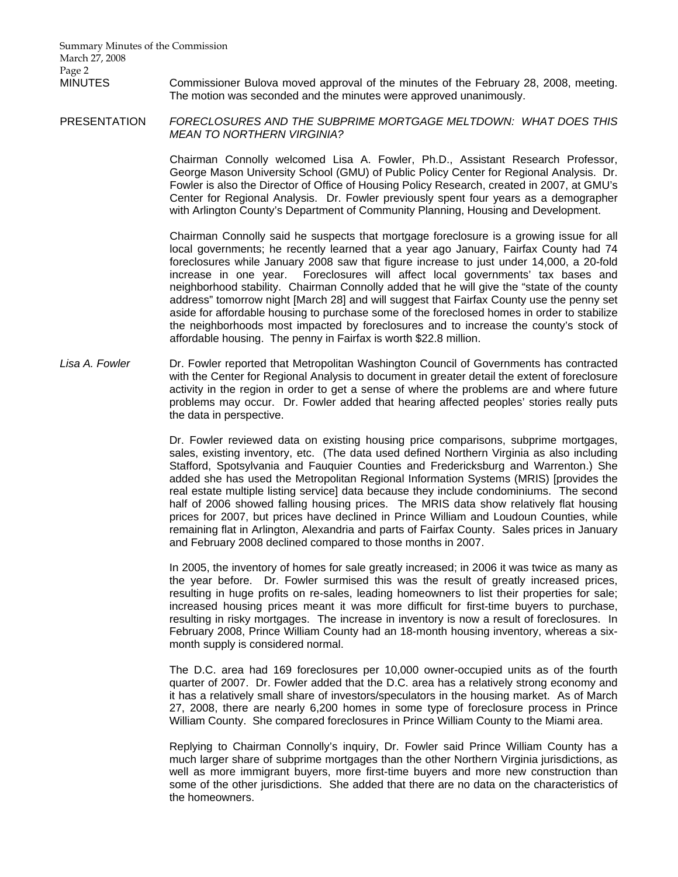MINUTES Commissioner Bulova moved approval of the minutes of the February 28, 2008, meeting. The motion was seconded and the minutes were approved unanimously.

# PRESENTATION *FORECLOSURES AND THE SUBPRIME MORTGAGE MELTDOWN: WHAT DOES THIS MEAN TO NORTHERN VIRGINIA?*

Chairman Connolly welcomed Lisa A. Fowler, Ph.D., Assistant Research Professor, George Mason University School (GMU) of Public Policy Center for Regional Analysis. Dr. Fowler is also the Director of Office of Housing Policy Research, created in 2007, at GMU's Center for Regional Analysis. Dr. Fowler previously spent four years as a demographer with Arlington County's Department of Community Planning, Housing and Development.

Chairman Connolly said he suspects that mortgage foreclosure is a growing issue for all local governments; he recently learned that a year ago January, Fairfax County had 74 foreclosures while January 2008 saw that figure increase to just under 14,000, a 20-fold increase in one year. Foreclosures will affect local governments' tax bases and neighborhood stability. Chairman Connolly added that he will give the "state of the county address" tomorrow night [March 28] and will suggest that Fairfax County use the penny set aside for affordable housing to purchase some of the foreclosed homes in order to stabilize the neighborhoods most impacted by foreclosures and to increase the county's stock of affordable housing. The penny in Fairfax is worth \$22.8 million.

Lisa A. Fowler **Dr. Fowler reported that Metropolitan Washington Council of Governments has contracted** with the Center for Regional Analysis to document in greater detail the extent of foreclosure activity in the region in order to get a sense of where the problems are and where future problems may occur. Dr. Fowler added that hearing affected peoples' stories really puts the data in perspective.

> Dr. Fowler reviewed data on existing housing price comparisons, subprime mortgages, sales, existing inventory, etc. (The data used defined Northern Virginia as also including Stafford, Spotsylvania and Fauquier Counties and Fredericksburg and Warrenton.) She added she has used the Metropolitan Regional Information Systems (MRIS) [provides the real estate multiple listing service] data because they include condominiums. The second half of 2006 showed falling housing prices. The MRIS data show relatively flat housing prices for 2007, but prices have declined in Prince William and Loudoun Counties, while remaining flat in Arlington, Alexandria and parts of Fairfax County. Sales prices in January and February 2008 declined compared to those months in 2007.

> In 2005, the inventory of homes for sale greatly increased; in 2006 it was twice as many as the year before. Dr. Fowler surmised this was the result of greatly increased prices, resulting in huge profits on re-sales, leading homeowners to list their properties for sale; increased housing prices meant it was more difficult for first-time buyers to purchase, resulting in risky mortgages. The increase in inventory is now a result of foreclosures. In February 2008, Prince William County had an 18-month housing inventory, whereas a sixmonth supply is considered normal.

> The D.C. area had 169 foreclosures per 10,000 owner-occupied units as of the fourth quarter of 2007. Dr. Fowler added that the D.C. area has a relatively strong economy and it has a relatively small share of investors/speculators in the housing market. As of March 27, 2008, there are nearly 6,200 homes in some type of foreclosure process in Prince William County. She compared foreclosures in Prince William County to the Miami area.

> Replying to Chairman Connolly's inquiry, Dr. Fowler said Prince William County has a much larger share of subprime mortgages than the other Northern Virginia jurisdictions, as well as more immigrant buyers, more first-time buyers and more new construction than some of the other jurisdictions. She added that there are no data on the characteristics of the homeowners.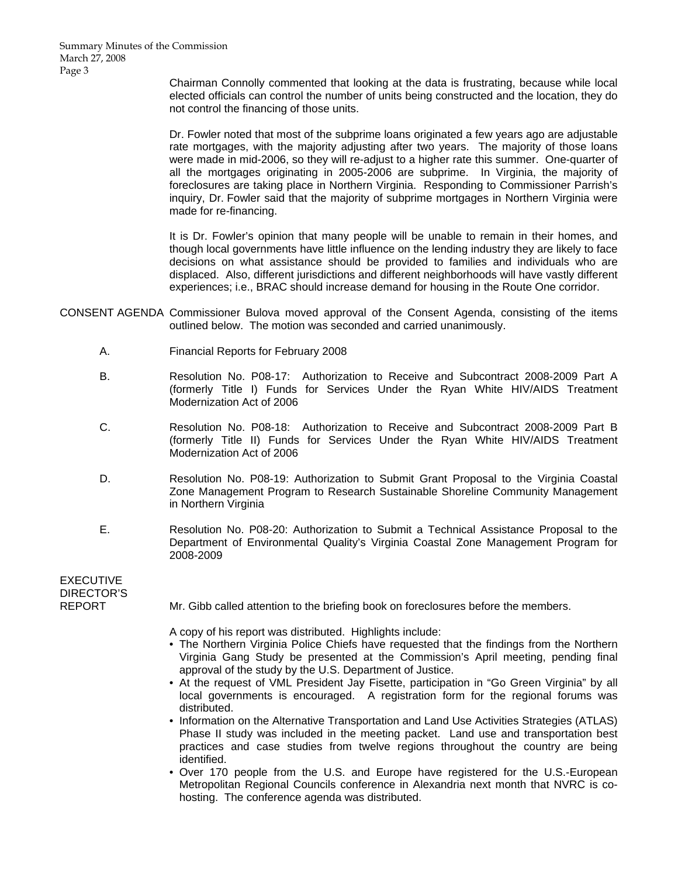Chairman Connolly commented that looking at the data is frustrating, because while local elected officials can control the number of units being constructed and the location, they do not control the financing of those units.

Dr. Fowler noted that most of the subprime loans originated a few years ago are adjustable rate mortgages, with the majority adjusting after two years. The majority of those loans were made in mid-2006, so they will re-adjust to a higher rate this summer. One-quarter of all the mortgages originating in 2005-2006 are subprime. In Virginia, the majority of foreclosures are taking place in Northern Virginia. Responding to Commissioner Parrish's inquiry, Dr. Fowler said that the majority of subprime mortgages in Northern Virginia were made for re-financing.

It is Dr. Fowler's opinion that many people will be unable to remain in their homes, and though local governments have little influence on the lending industry they are likely to face decisions on what assistance should be provided to families and individuals who are displaced. Also, different jurisdictions and different neighborhoods will have vastly different experiences; i.e., BRAC should increase demand for housing in the Route One corridor.

- CONSENT AGENDA Commissioner Bulova moved approval of the Consent Agenda, consisting of the items outlined below. The motion was seconded and carried unanimously.
	- A. Financial Reports for February 2008
	- B. Resolution No. P08-17: Authorization to Receive and Subcontract 2008-2009 Part A (formerly Title I) Funds for Services Under the Ryan White HIV/AIDS Treatment Modernization Act of 2006
	- C. Resolution No. P08-18: Authorization to Receive and Subcontract 2008-2009 Part B (formerly Title II) Funds for Services Under the Ryan White HIV/AIDS Treatment Modernization Act of 2006
	- D. Resolution No. P08-19: Authorization to Submit Grant Proposal to the Virginia Coastal Zone Management Program to Research Sustainable Shoreline Community Management in Northern Virginia
	- E. Resolution No. P08-20: Authorization to Submit a Technical Assistance Proposal to the Department of Environmental Quality's Virginia Coastal Zone Management Program for 2008-2009

EXECUTIVE DIRECTOR'S

REPORT Mr. Gibb called attention to the briefing book on foreclosures before the members.

A copy of his report was distributed. Highlights include:

- The Northern Virginia Police Chiefs have requested that the findings from the Northern Virginia Gang Study be presented at the Commission's April meeting, pending final approval of the study by the U.S. Department of Justice.
- At the request of VML President Jay Fisette, participation in "Go Green Virginia" by all local governments is encouraged. A registration form for the regional forums was distributed.
- Information on the Alternative Transportation and Land Use Activities Strategies (ATLAS) Phase II study was included in the meeting packet. Land use and transportation best practices and case studies from twelve regions throughout the country are being identified.
- Over 170 people from the U.S. and Europe have registered for the U.S.-European Metropolitan Regional Councils conference in Alexandria next month that NVRC is cohosting. The conference agenda was distributed.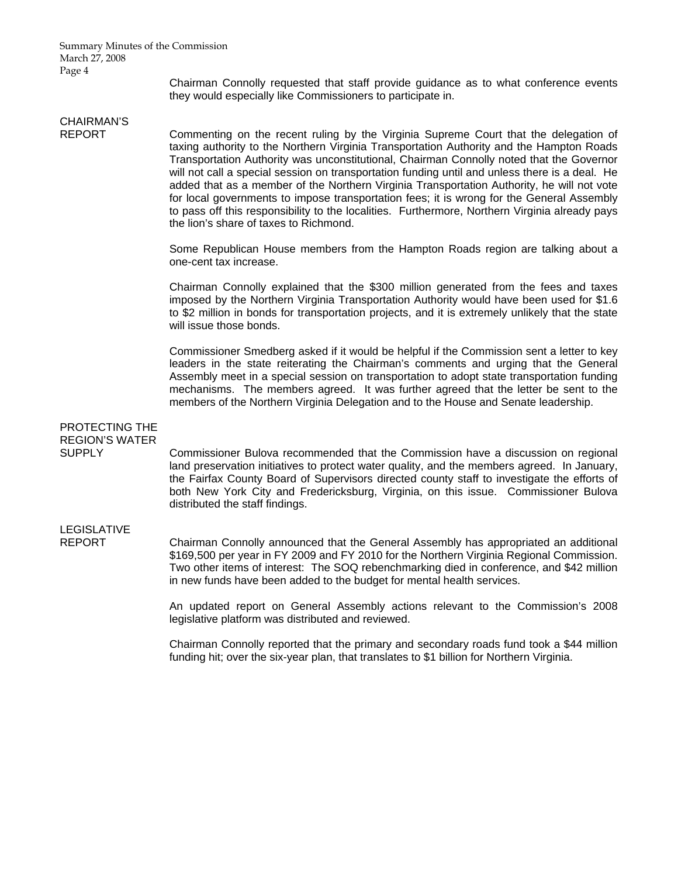Summary Minutes of the Commission March 27, 2008 Page 4

> Chairman Connolly requested that staff provide guidance as to what conference events they would especially like Commissioners to participate in.

# CHAIRMAN'S

REPORT Commenting on the recent ruling by the Virginia Supreme Court that the delegation of taxing authority to the Northern Virginia Transportation Authority and the Hampton Roads Transportation Authority was unconstitutional, Chairman Connolly noted that the Governor will not call a special session on transportation funding until and unless there is a deal. He added that as a member of the Northern Virginia Transportation Authority, he will not vote for local governments to impose transportation fees; it is wrong for the General Assembly to pass off this responsibility to the localities. Furthermore, Northern Virginia already pays the lion's share of taxes to Richmond.

> Some Republican House members from the Hampton Roads region are talking about a one-cent tax increase.

> Chairman Connolly explained that the \$300 million generated from the fees and taxes imposed by the Northern Virginia Transportation Authority would have been used for \$1.6 to \$2 million in bonds for transportation projects, and it is extremely unlikely that the state will issue those bonds.

> Commissioner Smedberg asked if it would be helpful if the Commission sent a letter to key leaders in the state reiterating the Chairman's comments and urging that the General Assembly meet in a special session on transportation to adopt state transportation funding mechanisms. The members agreed. It was further agreed that the letter be sent to the members of the Northern Virginia Delegation and to the House and Senate leadership.

# PROTECTING THE REGION'S WATER

SUPPLY Commissioner Bulova recommended that the Commission have a discussion on regional land preservation initiatives to protect water quality, and the members agreed. In January, the Fairfax County Board of Supervisors directed county staff to investigate the efforts of both New York City and Fredericksburg, Virginia, on this issue. Commissioner Bulova distributed the staff findings.

# LEGISLATIVE

REPORT Chairman Connolly announced that the General Assembly has appropriated an additional \$169,500 per year in FY 2009 and FY 2010 for the Northern Virginia Regional Commission. Two other items of interest: The SOQ rebenchmarking died in conference, and \$42 million in new funds have been added to the budget for mental health services.

> An updated report on General Assembly actions relevant to the Commission's 2008 legislative platform was distributed and reviewed.

> Chairman Connolly reported that the primary and secondary roads fund took a \$44 million funding hit; over the six-year plan, that translates to \$1 billion for Northern Virginia.